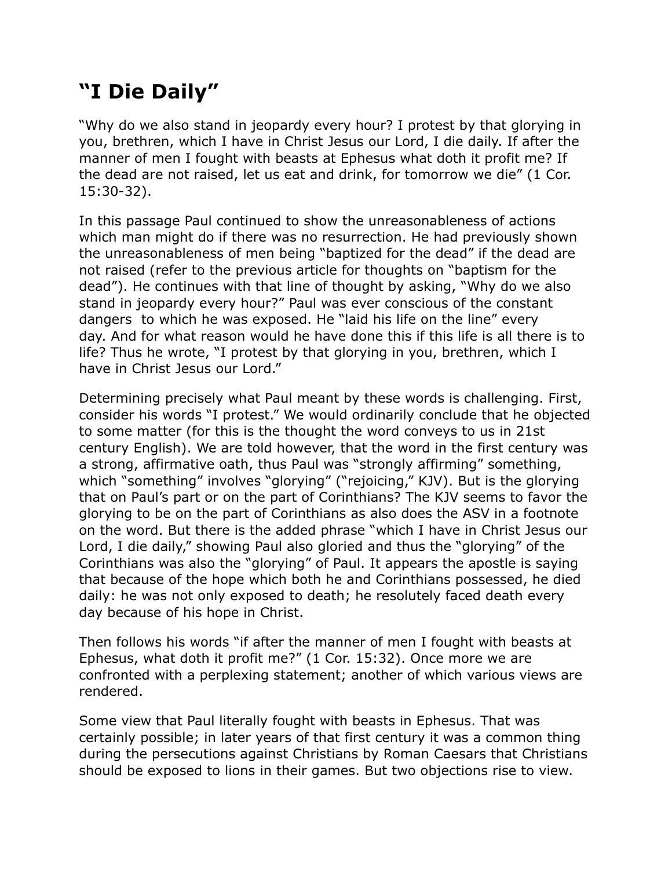## **"I Die Daily"**

"Why do we also stand in jeopardy every hour? I protest by that glorying in you, brethren, which I have in Christ Jesus our Lord, I die daily. If after the manner of men I fought with beasts at Ephesus what doth it profit me? If the dead are not raised, let us eat and drink, for tomorrow we die" (1 Cor. 15:30-32).

In this passage Paul continued to show the unreasonableness of actions which man might do if there was no resurrection. He had previously shown the unreasonableness of men being "baptized for the dead" if the dead are not raised (refer to the previous article for thoughts on "baptism for the dead"). He continues with that line of thought by asking, "Why do we also stand in jeopardy every hour?" Paul was ever conscious of the constant dangers to which he was exposed. He "laid his life on the line" every day. And for what reason would he have done this if this life is all there is to life? Thus he wrote, "I protest by that glorying in you, brethren, which I have in Christ Jesus our Lord."

Determining precisely what Paul meant by these words is challenging. First, consider his words "I protest." We would ordinarily conclude that he objected to some matter (for this is the thought the word conveys to us in 21st century English). We are told however, that the word in the first century was a strong, affirmative oath, thus Paul was "strongly affirming" something, which "something" involves "glorying" ("rejoicing," KJV). But is the glorying that on Paul's part or on the part of Corinthians? The KJV seems to favor the glorying to be on the part of Corinthians as also does the ASV in a footnote on the word. But there is the added phrase "which I have in Christ Jesus our Lord, I die daily," showing Paul also gloried and thus the "glorying" of the Corinthians was also the "glorying" of Paul. It appears the apostle is saying that because of the hope which both he and Corinthians possessed, he died daily: he was not only exposed to death; he resolutely faced death every day because of his hope in Christ.

Then follows his words "if after the manner of men I fought with beasts at Ephesus, what doth it profit me?" (1 Cor. 15:32). Once more we are confronted with a perplexing statement; another of which various views are rendered.

Some view that Paul literally fought with beasts in Ephesus. That was certainly possible; in later years of that first century it was a common thing during the persecutions against Christians by Roman Caesars that Christians should be exposed to lions in their games. But two objections rise to view.